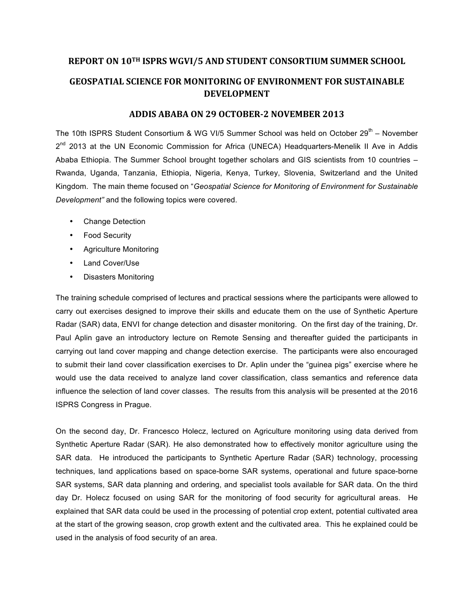## **REPORT ON 10TH ISPRS WGVI/5 AND STUDENT CONSORTIUM SUMMER SCHOOL GEOSPATIAL SCIENCE FOR MONITORING OF ENVIRONMENT FOR SUSTAINABLE DEVELOPMENT**

## ADDIS ABABA ON 29 OCTOBER-2 NOVEMBER 2013

The 10th ISPRS Student Consortium & WG VI/5 Summer School was held on October  $29<sup>th</sup>$  – November 2<sup>nd</sup> 2013 at the UN Economic Commission for Africa (UNECA) Headquarters-Menelik II Ave in Addis Ababa Ethiopia. The Summer School brought together scholars and GIS scientists from 10 countries – Rwanda, Uganda, Tanzania, Ethiopia, Nigeria, Kenya, Turkey, Slovenia, Switzerland and the United Kingdom. The main theme focused on "*Geospatial Science for Monitoring of Environment for Sustainable Development"* and the following topics were covered.

- Change Detection
- Food Security
- Agriculture Monitoring
- Land Cover/Use
- Disasters Monitoring

The training schedule comprised of lectures and practical sessions where the participants were allowed to carry out exercises designed to improve their skills and educate them on the use of Synthetic Aperture Radar (SAR) data, ENVI for change detection and disaster monitoring. On the first day of the training, Dr. Paul Aplin gave an introductory lecture on Remote Sensing and thereafter guided the participants in carrying out land cover mapping and change detection exercise. The participants were also encouraged to submit their land cover classification exercises to Dr. Aplin under the "guinea pigs" exercise where he would use the data received to analyze land cover classification, class semantics and reference data influence the selection of land cover classes. The results from this analysis will be presented at the 2016 ISPRS Congress in Prague.

On the second day, Dr. Francesco Holecz, lectured on Agriculture monitoring using data derived from Synthetic Aperture Radar (SAR). He also demonstrated how to effectively monitor agriculture using the SAR data. He introduced the participants to Synthetic Aperture Radar (SAR) technology, processing techniques, land applications based on space-borne SAR systems, operational and future space-borne SAR systems, SAR data planning and ordering, and specialist tools available for SAR data. On the third day Dr. Holecz focused on using SAR for the monitoring of food security for agricultural areas. He explained that SAR data could be used in the processing of potential crop extent, potential cultivated area at the start of the growing season, crop growth extent and the cultivated area. This he explained could be used in the analysis of food security of an area.